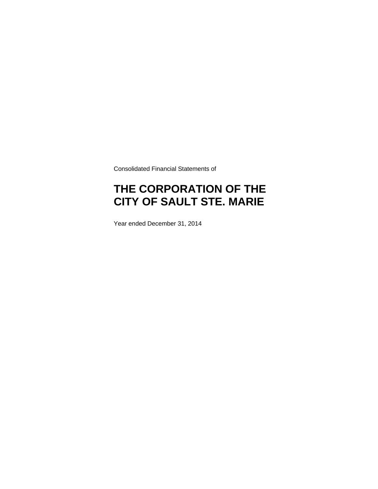Consolidated Financial Statements of

# **THE CORPORATION OF THE CITY OF SAULT STE. MARIE**

Year ended December 31, 2014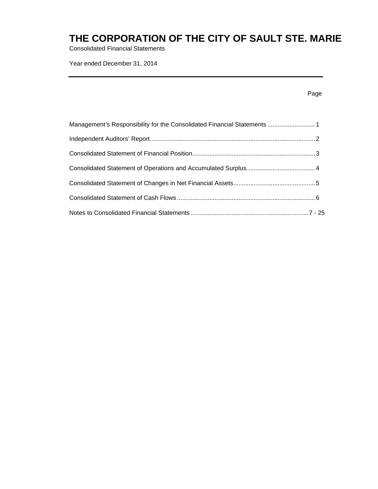Consolidated Financial Statements

Year ended December 31, 2014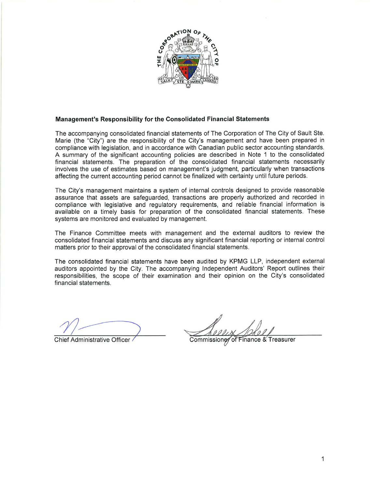

### Management's Responsibility for the Consolidated Financial Statements

The accompanying consolidated financial statements of The Corporation of The City of Sault Ste. Marie (the "City") are the responsibility of the City's management and have been prepared in compliance with legislation, and in accordance with Canadian public sector accounting standards. A summary of the significant accounting policies are described in Note 1 to the consolidated financial statements. The preparation of the consolidated financial statements necessarily involves the use of estimates based on management's judgment, particularly when transactions affecting the current accounting period cannot be finalized with certainty until future periods.

The City's management maintains a system of internal controls designed to provide reasonable assurance that assets are safeguarded, transactions are properly authorized and recorded in compliance with legislative and regulatory requirements, and reliable financial information is available on a timely basis for preparation of the consolidated financial statements. These systems are monitored and evaluated by management.

The Finance Committee meets with management and the external auditors to review the consolidated financial statements and discuss any significant financial reporting or internal control matters prior to their approval of the consolidated financial statements.

The consolidated financial statements have been audited by KPMG LLP, independent external auditors appointed by the City. The accompanying Independent Auditors' Report outlines their responsibilities, the scope of their examination and their opinion on the City's consolidated financial statements.

**Chief Administrative Officer** 

Commissioner of Finance & Treasurer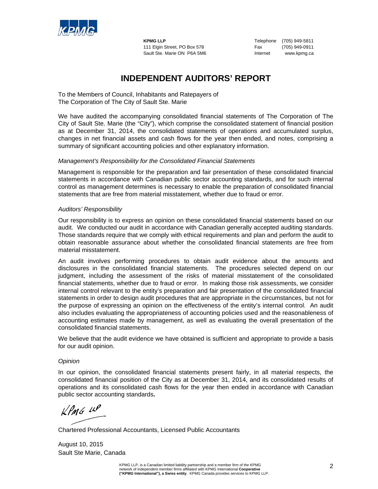

**KPMG LLP** Telephone (705) 949-5811 111 Elgin Street, PO Box 578 Fax (705) 949-0911 Sault Ste. Marie ON P6A 5M6 Internet www.kpmg.ca

### **INDEPENDENT AUDITORS' REPORT**

To the Members of Council, Inhabitants and Ratepayers of The Corporation of The City of Sault Ste. Marie

We have audited the accompanying consolidated financial statements of The Corporation of The City of Sault Ste. Marie (the "City"), which comprise the consolidated statement of financial position as at December 31, 2014, the consolidated statements of operations and accumulated surplus, changes in net financial assets and cash flows for the year then ended, and notes, comprising a summary of significant accounting policies and other explanatory information.

### *Management's Responsibility for the Consolidated Financial Statements*

Management is responsible for the preparation and fair presentation of these consolidated financial statements in accordance with Canadian public sector accounting standards, and for such internal control as management determines is necessary to enable the preparation of consolidated financial statements that are free from material misstatement, whether due to fraud or error.

### *Auditors' Responsibility*

Our responsibility is to express an opinion on these consolidated financial statements based on our audit. We conducted our audit in accordance with Canadian generally accepted auditing standards. Those standards require that we comply with ethical requirements and plan and perform the audit to obtain reasonable assurance about whether the consolidated financial statements are free from material misstatement.

An audit involves performing procedures to obtain audit evidence about the amounts and disclosures in the consolidated financial statements. The procedures selected depend on our judgment, including the assessment of the risks of material misstatement of the consolidated financial statements, whether due to fraud or error. In making those risk assessments, we consider internal control relevant to the entity's preparation and fair presentation of the consolidated financial statements in order to design audit procedures that are appropriate in the circumstances, but not for the purpose of expressing an opinion on the effectiveness of the entity's internal control.An audit also includes evaluating the appropriateness of accounting policies used and the reasonableness of accounting estimates made by management, as well as evaluating the overall presentation of the consolidated financial statements.

We believe that the audit evidence we have obtained is sufficient and appropriate to provide a basis for our audit opinion.

#### *Opinion*

In our opinion, the consolidated financial statements present fairly, in all material respects, the consolidated financial position of the City as at December 31, 2014, and its consolidated results of operations and its consolidated cash flows for the year then ended in accordance with Canadian public sector accounting standards**.** 

 $KPMG$  14P

Chartered Professional Accountants, Licensed Public Accountants

August 10, 2015 Sault Ste Marie, Canada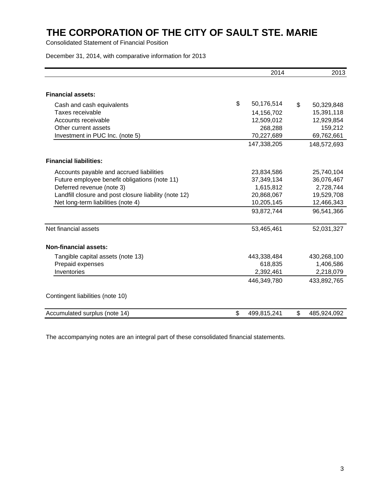Consolidated Statement of Financial Position

December 31, 2014, with comparative information for 2013

|                                                       | 2014              | 2013              |
|-------------------------------------------------------|-------------------|-------------------|
| <b>Financial assets:</b>                              |                   |                   |
| Cash and cash equivalents                             | \$<br>50,176,514  | \$<br>50,329,848  |
| Taxes receivable                                      | 14,156,702        | 15,391,118        |
| Accounts receivable                                   | 12,509,012        | 12,929,854        |
| Other current assets                                  | 268,288           | 159,212           |
| Investment in PUC Inc. (note 5)                       | 70,227,689        | 69,762,661        |
|                                                       | 147,338,205       | 148,572,693       |
| <b>Financial liabilities:</b>                         |                   |                   |
| Accounts payable and accrued liabilities              | 23,834,586        | 25,740,104        |
| Future employee benefit obligations (note 11)         | 37,349,134        | 36,076,467        |
| Deferred revenue (note 3)                             | 1,615,812         | 2,728,744         |
| Landfill closure and post closure liability (note 12) | 20,868,067        | 19,529,708        |
| Net long-term liabilities (note 4)                    | 10,205,145        | 12,466,343        |
|                                                       | 93,872,744        | 96,541,366        |
| Net financial assets                                  | 53,465,461        | 52,031,327        |
| <b>Non-financial assets:</b>                          |                   |                   |
| Tangible capital assets (note 13)                     | 443,338,484       | 430,268,100       |
| Prepaid expenses                                      | 618,835           | 1,406,586         |
| Inventories                                           | 2,392,461         | 2,218,079         |
|                                                       | 446,349,780       | 433,892,765       |
| Contingent liabilities (note 10)                      |                   |                   |
| Accumulated surplus (note 14)                         | \$<br>499,815,241 | \$<br>485,924,092 |

The accompanying notes are an integral part of these consolidated financial statements.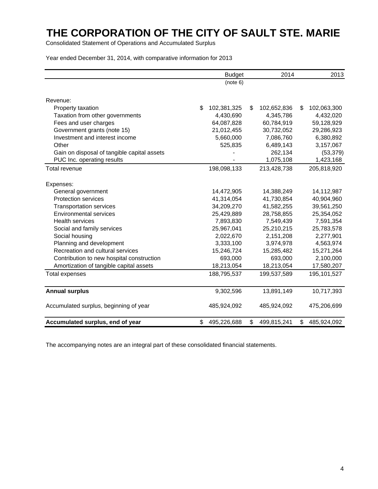Consolidated Statement of Operations and Accumulated Surplus

Year ended December 31, 2014, with comparative information for 2013

|                                             | <b>Budget</b>     | 2014              | 2013 |             |
|---------------------------------------------|-------------------|-------------------|------|-------------|
|                                             | (note 6)          |                   |      |             |
| Revenue:                                    |                   |                   |      |             |
| Property taxation                           | \$<br>102,381,325 | \$<br>102,652,836 | \$   | 102,063,300 |
| Taxation from other governments             | 4,430,690         | 4,345,786         |      | 4,432,020   |
| Fees and user charges                       | 64,087,828        | 60,784,919        |      | 59,128,929  |
| Government grants (note 15)                 | 21,012,455        | 30,732,052        |      | 29,286,923  |
| Investment and interest income              | 5,660,000         | 7,086,760         |      | 6,380,892   |
| Other                                       | 525,835           | 6,489,143         |      | 3,157,067   |
| Gain on disposal of tangible capital assets |                   | 262,134           |      | (53, 379)   |
| PUC Inc. operating results                  |                   | 1,075,108         |      | 1,423,168   |
| <b>Total revenue</b>                        | 198,098,133       | 213,428,738       |      | 205,818,920 |
| Expenses:                                   |                   |                   |      |             |
| General government                          | 14,472,905        | 14,388,249        |      | 14,112,987  |
| <b>Protection services</b>                  | 41,314,054        | 41,730,854        |      | 40,904,960  |
| <b>Transportation services</b>              | 34,209,270        | 41,582,255        |      | 39,561,250  |
| <b>Environmental services</b>               | 25,429,889        | 28,758,855        |      | 25,354,052  |
| <b>Health services</b>                      | 7,893,830         | 7,549,439         |      | 7,591,354   |
| Social and family services                  | 25,967,041        | 25,210,215        |      | 25,783,578  |
| Social housing                              | 2,022,670         | 2,151,208         |      | 2,277,901   |
| Planning and development                    | 3,333,100         | 3,974,978         |      | 4,563,974   |
| Recreation and cultural services            | 15,246,724        | 15,285,482        |      | 15,271,264  |
| Contribution to new hospital construction   | 693,000           | 693,000           |      | 2,100,000   |
| Amortization of tangible capital assets     | 18,213,054        | 18,213,054        |      | 17,580,207  |
| <b>Total expenses</b>                       | 188,795,537       | 199,537,589       |      | 195,101,527 |
| <b>Annual surplus</b>                       | 9,302,596         | 13,891,149        |      | 10,717,393  |
| Accumulated surplus, beginning of year      | 485,924,092       | 485,924,092       |      | 475,206,699 |
| Accumulated surplus, end of year            | \$<br>495,226,688 | \$<br>499,815,241 | \$   | 485,924,092 |

The accompanying notes are an integral part of these consolidated financial statements.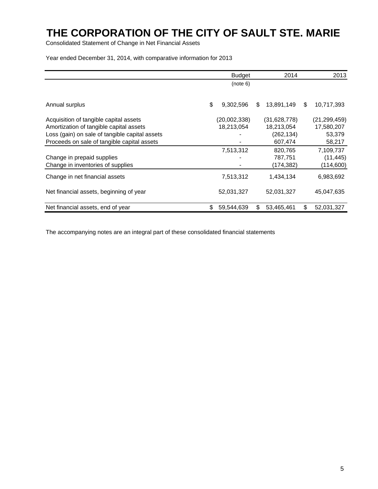Consolidated Statement of Change in Net Financial Assets

Year ended December 31, 2014, with comparative information for 2013

|                                                | <b>Budget</b><br>2014 |              |    |              | 2013             |
|------------------------------------------------|-----------------------|--------------|----|--------------|------------------|
|                                                |                       | (note 6)     |    |              |                  |
|                                                |                       |              |    |              |                  |
| Annual surplus                                 | \$                    | 9,302,596    | \$ | 13,891,149   | \$<br>10,717,393 |
| Acquisition of tangible capital assets         |                       | (20,002,338) |    | (31,628,778) | (21, 299, 459)   |
| Amortization of tangible capital assets        |                       | 18,213,054   |    | 18,213,054   | 17,580,207       |
| Loss (gain) on sale of tangible capital assets |                       |              |    | (262, 134)   | 53,379           |
| Proceeds on sale of tangible capital assets    |                       |              |    | 607,474      | 58,217           |
|                                                |                       | 7,513,312    |    | 820,765      | 7,109,737        |
| Change in prepaid supplies                     |                       |              |    | 787,751      | (11, 445)        |
| Change in inventories of supplies              |                       |              |    | (174,382)    | (114,600)        |
| Change in net financial assets                 |                       | 7,513,312    |    | 1,434,134    | 6,983,692        |
| Net financial assets, beginning of year        |                       | 52,031,327   |    | 52,031,327   | 45,047,635       |
| Net financial assets, end of year              | \$.                   | 59,544,639   | \$ | 53,465,461   | \$<br>52,031,327 |

The accompanying notes are an integral part of these consolidated financial statements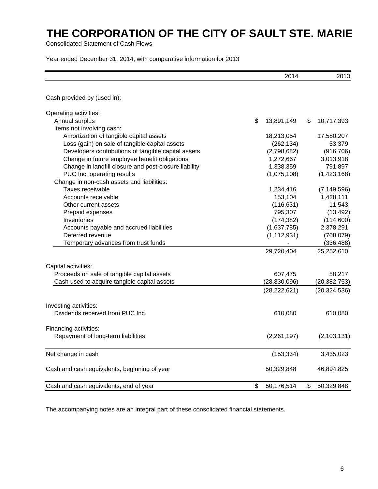Consolidated Statement of Cash Flows

Year ended December 31, 2014, with comparative information for 2013

|                                                       | 2014             | 2013             |
|-------------------------------------------------------|------------------|------------------|
| Cash provided by (used in):                           |                  |                  |
| Operating activities:                                 |                  |                  |
| Annual surplus                                        | \$<br>13,891,149 | \$<br>10,717,393 |
| Items not involving cash:                             |                  |                  |
| Amortization of tangible capital assets               | 18,213,054       | 17,580,207       |
| Loss (gain) on sale of tangible capital assets        | (262, 134)       | 53,379           |
| Developers contributions of tangible capital assets   | (2,798,682)      | (916, 706)       |
| Change in future employee benefit obligations         | 1,272,667        | 3,013,918        |
| Change in landfill closure and post-closure liability | 1,338,359        | 791,897          |
| PUC Inc. operating results                            | (1,075,108)      | (1,423,168)      |
| Change in non-cash assets and liabilities:            |                  |                  |
| Taxes receivable                                      | 1,234,416        | (7, 149, 596)    |
| Accounts receivable                                   | 153,104          | 1,428,111        |
| Other current assets                                  | (116, 631)       | 11,543           |
| Prepaid expenses                                      | 795,307          | (13, 492)        |
| Inventories                                           | (174, 382)       | (114,600)        |
| Accounts payable and accrued liabilities              | (1,637,785)      | 2,378,291        |
| Deferred revenue                                      | (1, 112, 931)    | (768, 079)       |
| Temporary advances from trust funds                   |                  | (336, 488)       |
|                                                       | 29,720,404       | 25,252,610       |
| Capital activities:                                   |                  |                  |
| Proceeds on sale of tangible capital assets           | 607,475          | 58,217           |
| Cash used to acquire tangible capital assets          | (28, 830, 096)   | (20, 382, 753)   |
|                                                       | (28, 222, 621)   | (20, 324, 536)   |
| Investing activities:                                 |                  |                  |
| Dividends received from PUC Inc.                      | 610,080          | 610,080          |
| Financing activities:                                 |                  |                  |
| Repayment of long-term liabilities                    | (2,261,197)      | (2, 103, 131)    |
| Net change in cash                                    | (153, 334)       | 3,435,023        |
| Cash and cash equivalents, beginning of year          | 50,329,848       | 46,894,825       |
| Cash and cash equivalents, end of year                | \$<br>50,176,514 | \$<br>50,329,848 |

The accompanying notes are an integral part of these consolidated financial statements.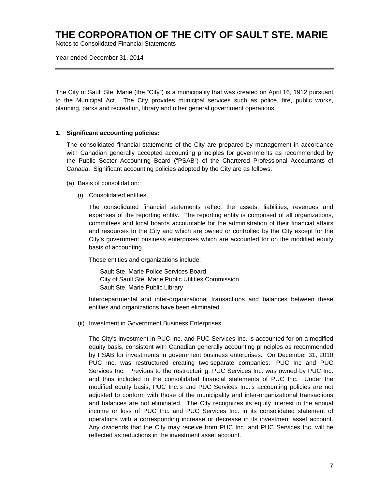Notes to Consolidated Financial Statements

Year ended December 31, 2014

The City of Sault Ste. Marie (the "City") is a municipality that was created on April 16, 1912 pursuant to the Municipal Act. The City provides municipal services such as police, fire, public works, planning, parks and recreation, library and other general government operations.

#### **1. Significant accounting policies:**

The consolidated financial statements of the City are prepared by management in accordance with Canadian generally accepted accounting principles for governments as recommended by the Public Sector Accounting Board ("PSAB") of the Chartered Professional Accountants of Canada. Significant accounting policies adopted by the City are as follows:

- (a) Basis of consolidation:
	- (i) Consolidated entities

 The consolidated financial statements reflect the assets, liabilities, revenues and expenses of the reporting entity. The reporting entity is comprised of all organizations, committees and local boards accountable for the administration of their financial affairs and resources to the City and which are owned or controlled by the City except for the City's government business enterprises which are accounted for on the modified equity basis of accounting.

These entities and organizations include:

 Sault Ste. Marie Police Services Board City of Sault Ste. Marie Public Utilities Commission Sault Ste. Marie Public Library

 Interdepartmental and inter-organizational transactions and balances between these entities and organizations have been eliminated.

(ii) Investment in Government Business Enterprises

The City's investment in PUC Inc. and PUC Services Inc. is accounted for on a modified equity basis, consistent with Canadian generally accounting principles as recommended by PSAB for investments in government business enterprises. On December 31, 2010 PUC Inc. was restructured creating two separate companies: PUC Inc and PUC Services Inc. Previous to the restructuring, PUC Services Inc. was owned by PUC Inc. and thus included in the consolidated financial statements of PUC Inc. Under the modified equity basis, PUC Inc.'s and PUC Services Inc.'s accounting policies are not adjusted to conform with those of the municipality and inter-organizational transactions and balances are not eliminated. The City recognizes its equity interest in the annual income or loss of PUC Inc. and PUC Services Inc. in its consolidated statement of operations with a corresponding increase or decrease in its investment asset account. Any dividends that the City may receive from PUC Inc. and PUC Services Inc. will be reflected as reductions in the investment asset account.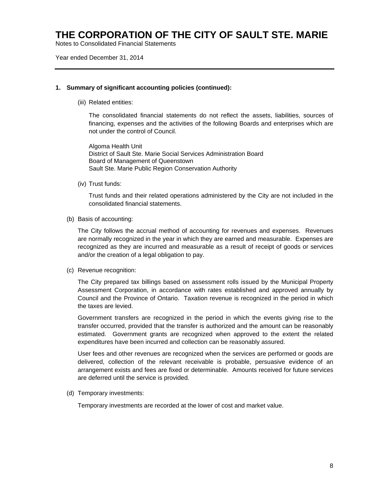Notes to Consolidated Financial Statements

Year ended December 31, 2014

#### **1. Summary of significant accounting policies (continued):**

(iii) Related entities:

 The consolidated financial statements do not reflect the assets, liabilities, sources of financing, expenses and the activities of the following Boards and enterprises which are not under the control of Council.

 Algoma Health Unit District of Sault Ste. Marie Social Services Administration Board Board of Management of Queenstown Sault Ste. Marie Public Region Conservation Authority

(iv) Trust funds:

Trust funds and their related operations administered by the City are not included in the consolidated financial statements.

(b) Basis of accounting:

The City follows the accrual method of accounting for revenues and expenses. Revenues are normally recognized in the year in which they are earned and measurable. Expenses are recognized as they are incurred and measurable as a result of receipt of goods or services and/or the creation of a legal obligation to pay.

(c) Revenue recognition:

The City prepared tax billings based on assessment rolls issued by the Municipal Property Assessment Corporation, in accordance with rates established and approved annually by Council and the Province of Ontario. Taxation revenue is recognized in the period in which the taxes are levied.

Government transfers are recognized in the period in which the events giving rise to the transfer occurred, provided that the transfer is authorized and the amount can be reasonably estimated. Government grants are recognized when approved to the extent the related expenditures have been incurred and collection can be reasonably assured.

User fees and other revenues are recognized when the services are performed or goods are delivered, collection of the relevant receivable is probable, persuasive evidence of an arrangement exists and fees are fixed or determinable. Amounts received for future services are deferred until the service is provided.

(d) Temporary investments:

Temporary investments are recorded at the lower of cost and market value.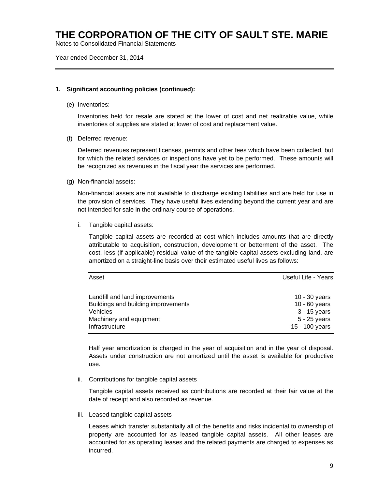Notes to Consolidated Financial Statements

Year ended December 31, 2014

#### **1. Significant accounting policies (continued):**

(e) Inventories:

Inventories held for resale are stated at the lower of cost and net realizable value, while inventories of supplies are stated at lower of cost and replacement value.

(f) Deferred revenue:

Deferred revenues represent licenses, permits and other fees which have been collected, but for which the related services or inspections have yet to be performed. These amounts will be recognized as revenues in the fiscal year the services are performed.

(g) Non-financial assets:

 Non-financial assets are not available to discharge existing liabilities and are held for use in the provision of services. They have useful lives extending beyond the current year and are not intended for sale in the ordinary course of operations.

i. Tangible capital assets:

Tangible capital assets are recorded at cost which includes amounts that are directly attributable to acquisition, construction, development or betterment of the asset. The cost, less (if applicable) residual value of the tangible capital assets excluding land, are amortized on a straight-line basis over their estimated useful lives as follows:

| Asset                               | Useful Life - Years |
|-------------------------------------|---------------------|
|                                     |                     |
| Landfill and land improvements      | $10 - 30$ years     |
| Buildings and building improvements | 10 - 60 years       |
| Vehicles                            | 3 - 15 years        |
| Machinery and equipment             | 5 - 25 years        |
| Infrastructure                      | 15 - 100 years      |

Half year amortization is charged in the year of acquisition and in the year of disposal. Assets under construction are not amortized until the asset is available for productive use.

ii. Contributions for tangible capital assets

Tangible capital assets received as contributions are recorded at their fair value at the date of receipt and also recorded as revenue.

iii. Leased tangible capital assets

Leases which transfer substantially all of the benefits and risks incidental to ownership of property are accounted for as leased tangible capital assets. All other leases are accounted for as operating leases and the related payments are charged to expenses as incurred.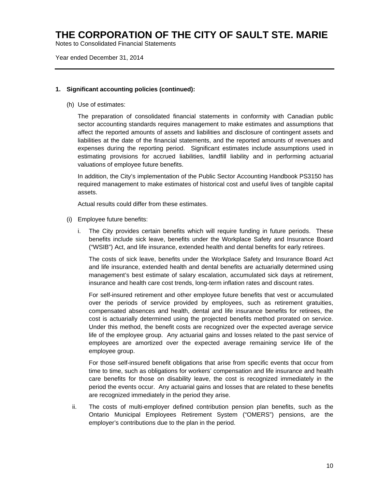Notes to Consolidated Financial Statements

Year ended December 31, 2014

#### **1. Significant accounting policies (continued):**

(h) Use of estimates:

The preparation of consolidated financial statements in conformity with Canadian public sector accounting standards requires management to make estimates and assumptions that affect the reported amounts of assets and liabilities and disclosure of contingent assets and liabilities at the date of the financial statements, and the reported amounts of revenues and expenses during the reporting period. Significant estimates include assumptions used in estimating provisions for accrued liabilities, landfill liability and in performing actuarial valuations of employee future benefits.

In addition, the City's implementation of the Public Sector Accounting Handbook PS3150 has required management to make estimates of historical cost and useful lives of tangible capital assets.

Actual results could differ from these estimates.

- (i) Employee future benefits:
	- i. The City provides certain benefits which will require funding in future periods. These benefits include sick leave, benefits under the Workplace Safety and Insurance Board ("WSIB") Act, and life insurance, extended health and dental benefits for early retirees.

 The costs of sick leave, benefits under the Workplace Safety and Insurance Board Act and life insurance, extended health and dental benefits are actuarially determined using management's best estimate of salary escalation, accumulated sick days at retirement, insurance and health care cost trends, long-term inflation rates and discount rates.

 For self-insured retirement and other employee future benefits that vest or accumulated over the periods of service provided by employees, such as retirement gratuities, compensated absences and health, dental and life insurance benefits for retirees, the cost is actuarially determined using the projected benefits method prorated on service. Under this method, the benefit costs are recognized over the expected average service life of the employee group. Any actuarial gains and losses related to the past service of employees are amortized over the expected average remaining service life of the employee group.

 For those self-insured benefit obligations that arise from specific events that occur from time to time, such as obligations for workers' compensation and life insurance and health care benefits for those on disability leave, the cost is recognized immediately in the period the events occur. Any actuarial gains and losses that are related to these benefits are recognized immediately in the period they arise.

ii. The costs of multi-employer defined contribution pension plan benefits, such as the Ontario Municipal Employees Retirement System ("OMERS") pensions, are the employer's contributions due to the plan in the period.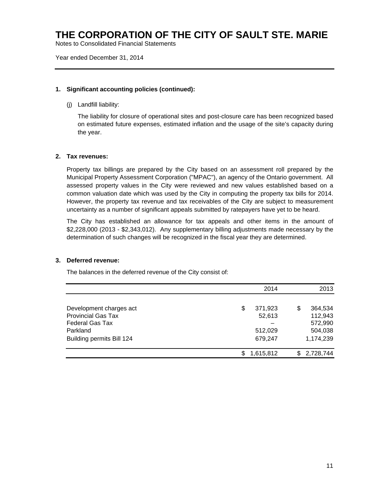Notes to Consolidated Financial Statements

Year ended December 31, 2014

### **1. Significant accounting policies (continued):**

(j) Landfill liability:

The liability for closure of operational sites and post-closure care has been recognized based on estimated future expenses, estimated inflation and the usage of the site's capacity during the year.

### **2. Tax revenues:**

Property tax billings are prepared by the City based on an assessment roll prepared by the Municipal Property Assessment Corporation ("MPAC"), an agency of the Ontario government. All assessed property values in the City were reviewed and new values established based on a common valuation date which was used by the City in computing the property tax bills for 2014. However, the property tax revenue and tax receivables of the City are subject to measurement uncertainty as a number of significant appeals submitted by ratepayers have yet to be heard.

The City has established an allowance for tax appeals and other items in the amount of \$2,228,000 (2013 - \$2,343,012). Any supplementary billing adjustments made necessary by the determination of such changes will be recognized in the fiscal year they are determined.

#### **3. Deferred revenue:**

The balances in the deferred revenue of the City consist of:

|                           | 2014          | 2013         |
|---------------------------|---------------|--------------|
| Development charges act   | 371,923<br>\$ | 364,534<br>S |
| <b>Provincial Gas Tax</b> | 52,613        | 112,943      |
| <b>Federal Gas Tax</b>    |               | 572,990      |
| Parkland                  | 512,029       | 504,038      |
| Building permits Bill 124 | 679,247       | 1,174,239    |
|                           | 1,615,812     | \$2,728,744  |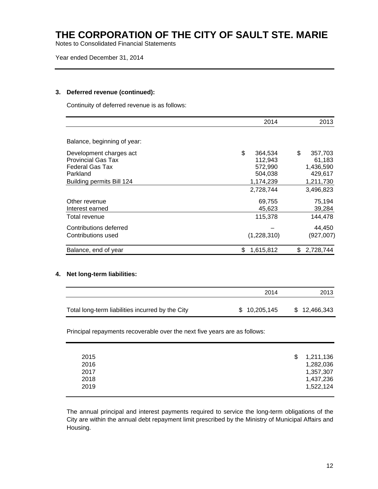Notes to Consolidated Financial Statements

Year ended December 31, 2014

### **3. Deferred revenue (continued):**

Continuity of deferred revenue is as follows:

|                                                                                                                         | 2014                                                        | 2013                                                         |
|-------------------------------------------------------------------------------------------------------------------------|-------------------------------------------------------------|--------------------------------------------------------------|
| Balance, beginning of year:                                                                                             |                                                             |                                                              |
| Development charges act<br><b>Provincial Gas Tax</b><br><b>Federal Gas Tax</b><br>Parkland<br>Building permits Bill 124 | \$<br>364,534<br>112,943<br>572,990<br>504,038<br>1,174,239 | \$<br>357,703<br>61,183<br>1,436,590<br>429,617<br>1,211,730 |
|                                                                                                                         | 2,728,744                                                   | 3,496,823                                                    |
| Other revenue<br>Interest earned                                                                                        | 69,755<br>45,623                                            | 75,194<br>39,284                                             |
| Total revenue                                                                                                           | 115,378                                                     | 144,478                                                      |
| Contributions deferred<br>Contributions used                                                                            | (1,228,310)                                                 | 44,450<br>(927,007)                                          |
| Balance, end of year                                                                                                    | \$<br>1,615,812                                             | 2,728,744<br>\$                                              |

### **4. Net long-term liabilities:**

|                                                  | 2014         | 2013         |
|--------------------------------------------------|--------------|--------------|
| Total long-term liabilities incurred by the City | \$10,205,145 | \$12,466,343 |

Principal repayments recoverable over the next five years are as follows:

| 2015 | S. | 1,211,136 |
|------|----|-----------|
| 2016 |    | 1,282,036 |
| 2017 |    | 1,357,307 |
| 2018 |    | 1,437,236 |
| 2019 |    | 1,522,124 |
|      |    |           |

The annual principal and interest payments required to service the long-term obligations of the City are within the annual debt repayment limit prescribed by the Ministry of Municipal Affairs and Housing.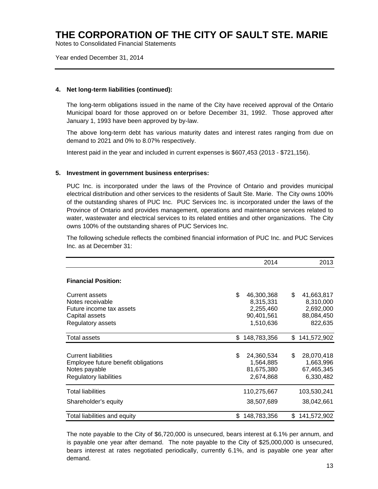Notes to Consolidated Financial Statements

Year ended December 31, 2014

### **4. Net long-term liabilities (continued):**

The long-term obligations issued in the name of the City have received approval of the Ontario Municipal board for those approved on or before December 31, 1992. Those approved after January 1, 1993 have been approved by by-law.

The above long-term debt has various maturity dates and interest rates ranging from due on demand to 2021 and 0% to 8.07% respectively.

Interest paid in the year and included in current expenses is \$607,453 (2013 - \$721,156).

#### **5. Investment in government business enterprises:**

PUC Inc. is incorporated under the laws of the Province of Ontario and provides municipal electrical distribution and other services to the residents of Sault Ste. Marie. The City owns 100% of the outstanding shares of PUC Inc. PUC Services Inc. is incorporated under the laws of the Province of Ontario and provides management, operations and maintenance services related to water, wastewater and electrical services to its related entities and other organizations. The City owns 100% of the outstanding shares of PUC Services Inc.

The following schedule reflects the combined financial information of PUC Inc. and PUC Services Inc. as at December 31:

|                                                                                                                     |     | 2014                                                            |     | 2013                                                          |
|---------------------------------------------------------------------------------------------------------------------|-----|-----------------------------------------------------------------|-----|---------------------------------------------------------------|
| <b>Financial Position:</b>                                                                                          |     |                                                                 |     |                                                               |
| <b>Current assets</b><br>Notes receivable<br>Future income tax assets<br>Capital assets<br>Regulatory assets        | \$  | 46,300,368<br>8,315,331<br>2,255,460<br>90,401,561<br>1,510,636 | \$  | 41,663,817<br>8,310,000<br>2,692,000<br>88,084,450<br>822,635 |
| <b>Total assets</b>                                                                                                 |     | \$148,783,356                                                   |     | \$141,572,902                                                 |
| <b>Current liabilities</b><br>Employee future benefit obligations<br>Notes payable<br><b>Regulatory liabilities</b> | \$  | 24,360,534<br>1,564,885<br>81,675,380<br>2,674,868              | \$  | 28,070,418<br>1,663,996<br>67,465,345<br>6,330,482            |
| <b>Total liabilities</b><br>Shareholder's equity                                                                    |     | 110,275,667<br>38,507,689                                       |     | 103,530,241<br>38,042,661                                     |
| Total liabilities and equity                                                                                        | \$. | 148,783,356                                                     | \$. | 141,572,902                                                   |

The note payable to the City of \$6,720,000 is unsecured, bears interest at 6.1% per annum, and is payable one year after demand. The note payable to the City of \$25,000,000 is unsecured, bears interest at rates negotiated periodically, currently 6.1%, and is payable one year after demand.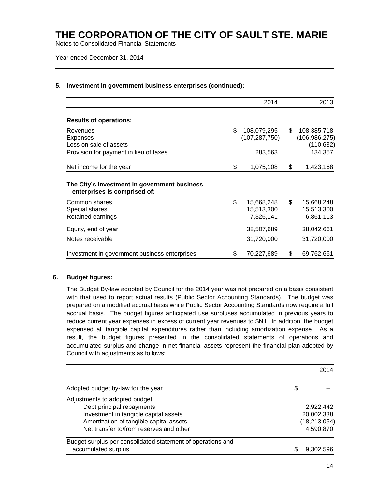Notes to Consolidated Financial Statements

Year ended December 31, 2014

|                                                                                                 | 2014                                            |     | 2013                                                    |
|-------------------------------------------------------------------------------------------------|-------------------------------------------------|-----|---------------------------------------------------------|
| <b>Results of operations:</b>                                                                   |                                                 |     |                                                         |
| Revenues<br><b>Expenses</b><br>Loss on sale of assets<br>Provision for payment in lieu of taxes | \$<br>108,079,295<br>(107, 287, 750)<br>283,563 | \$. | 108,385,718<br>(106, 986, 275)<br>(110, 632)<br>134,357 |
| Net income for the year                                                                         | \$<br>1,075,108                                 | \$  | 1,423,168                                               |
| The City's investment in government business<br>enterprises is comprised of:                    |                                                 |     |                                                         |
| Common shares<br>Special shares<br>Retained earnings                                            | \$<br>15,668,248<br>15,513,300<br>7,326,141     | \$  | 15,668,248<br>15,513,300<br>6,861,113                   |
| Equity, end of year                                                                             | 38,507,689                                      |     | 38,042,661                                              |
| Notes receivable                                                                                | 31,720,000                                      |     | 31,720,000                                              |
| Investment in government business enterprises                                                   | \$<br>70,227,689                                | \$  | 69,762,661                                              |

#### **5. Investment in government business enterprises (continued):**

#### **6. Budget figures:**

The Budget By-law adopted by Council for the 2014 year was not prepared on a basis consistent with that used to report actual results (Public Sector Accounting Standards). The budget was prepared on a modified accrual basis while Public Sector Accounting Standards now require a full accrual basis. The budget figures anticipated use surpluses accumulated in previous years to reduce current year expenses in excess of current year revenues to \$Nil. In addition, the budget expensed all tangible capital expenditures rather than including amortization expense. As a result, the budget figures presented in the consolidated statements of operations and accumulated surplus and change in net financial assets represent the financial plan adopted by Council with adjustments as follows:

|                                                             | 2014           |
|-------------------------------------------------------------|----------------|
| Adopted budget by-law for the year                          | \$             |
| Adjustments to adopted budget:                              |                |
| Debt principal repayments                                   | 2,922,442      |
| Investment in tangible capital assets                       | 20,002,338     |
| Amortization of tangible capital assets                     | (18, 213, 054) |
| Net transfer to/from reserves and other                     | 4,590,870      |
| Budget surplus per consolidated statement of operations and |                |
| accumulated surplus                                         | 9.302.596      |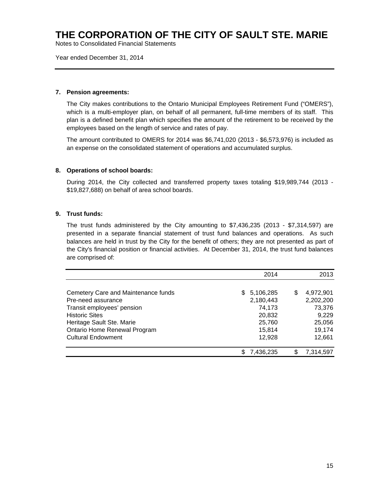Notes to Consolidated Financial Statements

Year ended December 31, 2014

### **7. Pension agreements:**

The City makes contributions to the Ontario Municipal Employees Retirement Fund ("OMERS"), which is a multi-employer plan, on behalf of all permanent, full-time members of its staff. This plan is a defined benefit plan which specifies the amount of the retirement to be received by the employees based on the length of service and rates of pay.

The amount contributed to OMERS for 2014 was \$6,741,020 (2013 - \$6,573,976) is included as an expense on the consolidated statement of operations and accumulated surplus.

### **8. Operations of school boards:**

During 2014, the City collected and transferred property taxes totaling \$19,989,744 (2013 - \$19,827,688) on behalf of area school boards.

### **9. Trust funds:**

The trust funds administered by the City amounting to \$7,436,235 (2013 - \$7,314,597) are presented in a separate financial statement of trust fund balances and operations. As such balances are held in trust by the City for the benefit of others; they are not presented as part of the City's financial position or financial activities. At December 31, 2014, the trust fund balances are comprised of:

|                                     | 2014             | 2013            |
|-------------------------------------|------------------|-----------------|
|                                     |                  |                 |
| Cemetery Care and Maintenance funds | 5,106,285<br>\$. | \$<br>4,972,901 |
| Pre-need assurance                  | 2,180,443        | 2,202,200       |
| Transit employees' pension          | 74,173           | 73,376          |
| <b>Historic Sites</b>               | 20,832           | 9,229           |
| Heritage Sault Ste. Marie           | 25,760           | 25,056          |
| Ontario Home Renewal Program        | 15,814           | 19,174          |
| <b>Cultural Endowment</b>           | 12,928           | 12,661          |
|                                     | 7,436,235        | 7,314,597       |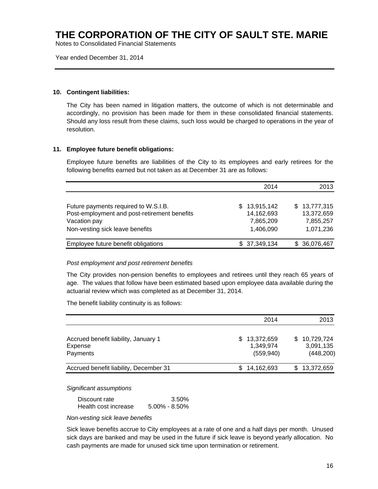Notes to Consolidated Financial Statements

Year ended December 31, 2014

### **10. Contingent liabilities:**

The City has been named in litigation matters, the outcome of which is not determinable and accordingly, no provision has been made for them in these consolidated financial statements. Should any loss result from these claims, such loss would be charged to operations in the year of resolution.

### **11. Employee future benefit obligations:**

Employee future benefits are liabilities of the City to its employees and early retirees for the following benefits earned but not taken as at December 31 are as follows:

|                                                                                      | 2014                             | 2013                       |
|--------------------------------------------------------------------------------------|----------------------------------|----------------------------|
| Future payments required to W.S.I.B.<br>Post-employment and post-retirement benefits | 13,915,142<br>S.<br>14, 162, 693 | \$13,777,315<br>13,372,659 |
| Vacation pay<br>Non-vesting sick leave benefits                                      | 7,865,209<br>1,406,090           | 7,855,257<br>1,071,236     |
| Employee future benefit obligations                                                  | \$37,349,134                     | \$36,076,467               |

#### *Post employment and post retirement benefits*

The City provides non-pension benefits to employees and retirees until they reach 65 years of age. The values that follow have been estimated based upon employee data available during the actuarial review which was completed as at December 31, 2014.

The benefit liability continuity is as follows:

|                                                             | 2014                                         | 2013                                        |
|-------------------------------------------------------------|----------------------------------------------|---------------------------------------------|
| Accrued benefit liability, January 1<br>Expense<br>Payments | 13,372,659<br>SS.<br>1,349,974<br>(559, 940) | 10,729,724<br>S.<br>3,091,135<br>(448, 200) |
| Accrued benefit liability, December 31                      | 14,162,693                                   | \$13,372,659                                |

*Significant assumptions* 

| Discount rate        | 3.50%             |
|----------------------|-------------------|
| Health cost increase | $5.00\% - 8.50\%$ |

*Non-vesting sick leave benefits* 

Sick leave benefits accrue to City employees at a rate of one and a half days per month. Unused sick days are banked and may be used in the future if sick leave is beyond yearly allocation. No cash payments are made for unused sick time upon termination or retirement.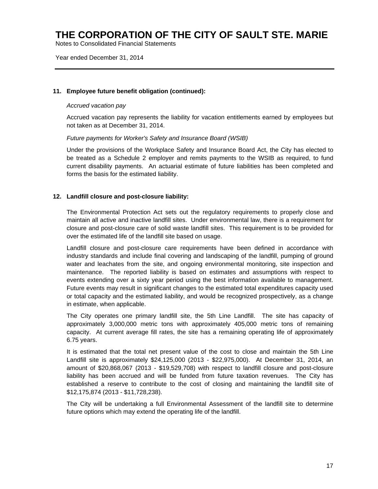Notes to Consolidated Financial Statements

Year ended December 31, 2014

### **11. Employee future benefit obligation (continued):**

### *Accrued vacation pay*

Accrued vacation pay represents the liability for vacation entitlements earned by employees but not taken as at December 31, 2014.

### *Future payments for Worker's Safety and Insurance Board (WSIB)*

Under the provisions of the Workplace Safety and Insurance Board Act, the City has elected to be treated as a Schedule 2 employer and remits payments to the WSIB as required, to fund current disability payments. An actuarial estimate of future liabilities has been completed and forms the basis for the estimated liability.

### **12. Landfill closure and post-closure liability:**

The Environmental Protection Act sets out the regulatory requirements to properly close and maintain all active and inactive landfill sites. Under environmental law, there is a requirement for closure and post-closure care of solid waste landfill sites. This requirement is to be provided for over the estimated life of the landfill site based on usage.

Landfill closure and post-closure care requirements have been defined in accordance with industry standards and include final covering and landscaping of the landfill, pumping of ground water and leachates from the site, and ongoing environmental monitoring, site inspection and maintenance. The reported liability is based on estimates and assumptions with respect to events extending over a sixty year period using the best information available to management. Future events may result in significant changes to the estimated total expenditures capacity used or total capacity and the estimated liability, and would be recognized prospectively, as a change in estimate, when applicable.

The City operates one primary landfill site, the 5th Line Landfill. The site has capacity of approximately 3,000,000 metric tons with approximately 405,000 metric tons of remaining capacity. At current average fill rates, the site has a remaining operating life of approximately 6.75 years.

It is estimated that the total net present value of the cost to close and maintain the 5th Line Landfill site is approximately \$24,125,000 (2013 - \$22,975,000). At December 31, 2014, an amount of \$20,868,067 (2013 - \$19,529,708) with respect to landfill closure and post-closure liability has been accrued and will be funded from future taxation revenues. The City has established a reserve to contribute to the cost of closing and maintaining the landfill site of \$12,175,874 (2013 - \$11,728,238).

The City will be undertaking a full Environmental Assessment of the landfill site to determine future options which may extend the operating life of the landfill.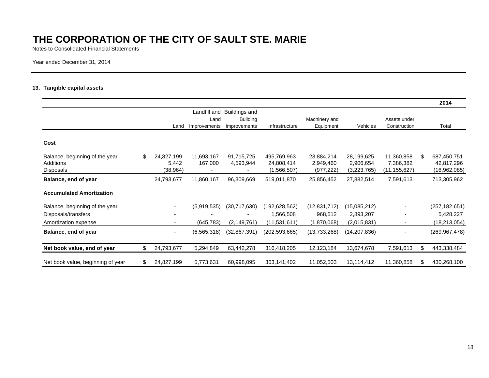Notes to Consolidated Financial Statements

Year ended December 31, 2014

### **13. Tangible capital assets**

|                                   |     |            |               |                      |                 |               |              |                |     | 2014            |
|-----------------------------------|-----|------------|---------------|----------------------|-----------------|---------------|--------------|----------------|-----|-----------------|
|                                   |     |            | Landfill and  | <b>Buildings and</b> |                 |               |              |                |     |                 |
|                                   |     |            | Land          | <b>Building</b>      |                 | Machinery and |              | Assets under   |     |                 |
|                                   |     | Land       | Improvements  | Improvements         | Infrastructure  | Equipment     | Vehicles     | Construction   |     | Total           |
| Cost                              |     |            |               |                      |                 |               |              |                |     |                 |
| Balance, beginning of the year    | \$. | 24,827,199 | 11,693,167    | 91,715,725           | 495,769,963     | 23,884,214    | 28,199,625   | 11,360,858     | \$. | 687,450,751     |
| Additions                         |     | 5,442      | 167,000       | 4,593,944            | 24,808,414      | 2,949,460     | 2,906,654    | 7,386,382      |     | 42,817,296      |
| Disposals                         |     | (38, 964)  |               |                      | (1,566,507)     | (977, 222)    | (3,223,765)  | (11, 155, 627) |     | (16,962,085)    |
| Balance, end of year              |     | 24,793,677 | 11,860,167    | 96,309,669           | 519,011,870     | 25,856,452    | 27,882,514   | 7,591,613      |     | 713,305,962     |
| <b>Accumulated Amortization</b>   |     |            |               |                      |                 |               |              |                |     |                 |
| Balance, beginning of the year    |     |            | (5,919,535)   | (30,717,630)         | (192, 628, 562) | (12,831,712)  | (15,085,212) |                |     | (257, 182, 651) |
| Disposals/transfers               |     |            |               |                      | 1,566,508       | 968,512       | 2,893,207    |                |     | 5,428,227       |
| Amortization expense              |     |            | (645, 783)    | (2, 149, 761)        | (11,531,611)    | (1,870,068)   | (2,015,831)  |                |     | (18, 213, 054)  |
| Balance, end of year              |     |            | (6, 565, 318) | (32,867,391)         | (202,593,665)   | (13,733,268)  | (14,207,836) |                |     | (269,967,478)   |
| Net book value, end of year       | \$  | 24,793,677 | 5,294,849     | 63,442,278           | 316,418,205     | 12,123,184    | 13,674,678   | 7,591,613      | \$  | 443,338,484     |
| Net book value, beginning of year | \$. | 24,827,199 | 5,773,631     | 60,998,095           | 303,141,402     | 11,052,503    | 13,114,412   | 11,360,858     | S.  | 430,268,100     |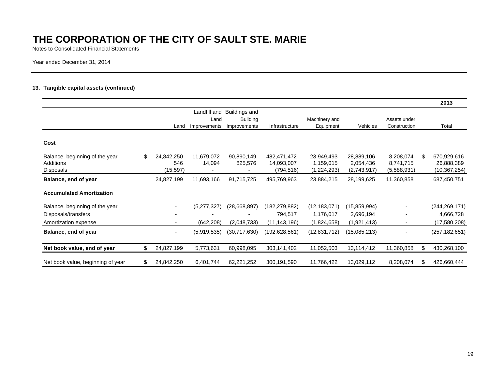Notes to Consolidated Financial Statements

Year ended December 31, 2014

### **13. Tangible capital assets (continued)**

|                                   |                  |              |                 |                 |                |              |              | 2013              |
|-----------------------------------|------------------|--------------|-----------------|-----------------|----------------|--------------|--------------|-------------------|
|                                   |                  | Landfill and | Buildings and   |                 |                |              |              |                   |
|                                   |                  | Land         | <b>Building</b> |                 | Machinery and  |              | Assets under |                   |
|                                   | Land             | Improvements | Improvements    | Infrastructure  | Equipment      | Vehicles     | Construction | Total             |
| Cost                              |                  |              |                 |                 |                |              |              |                   |
| Balance, beginning of the year    | \$<br>24,842,250 | 11,679,072   | 90,890,149      | 482,471,472     | 23,949,493     | 28,889,106   | 8,208,074    | \$<br>670,929,616 |
| <b>Additions</b>                  | 546              | 14,094       | 825,576         | 14,093,007      | 1,159,015      | 2,054,436    | 8,741,715    | 26,888,389        |
| Disposals                         | (15, 597)        |              |                 | (794,516)       | (1,224,293)    | (2,743,917)  | (5,588,931)  | (10,367,254)      |
| Balance, end of year              | 24,827,199       | 11,693,166   | 91,715,725      | 495,769,963     | 23,884,215     | 28,199,625   | 11,360,858   | 687,450,751       |
| <b>Accumulated Amortization</b>   |                  |              |                 |                 |                |              |              |                   |
| Balance, beginning of the year    |                  | (5,277,327)  | (28,668,897)    | (182, 279, 882) | (12, 183, 071) | (15,859,994) |              | (244, 269, 171)   |
| Disposals/transfers               |                  |              |                 | 794,517         | 1,176,017      | 2,696,194    |              | 4,666,728         |
| Amortization expense              |                  | (642, 208)   | (2,048,733)     | (11, 143, 196)  | (1,824,658)    | (1,921,413)  |              | (17,580,208)      |
| Balance, end of year              |                  | (5,919,535)  | (30,717,630)    | (192,628,561)   | (12, 831, 712) | (15,085,213) |              | (257, 182, 651)   |
| Net book value, end of year       | \$<br>24,827,199 | 5,773,631    | 60,998,095      | 303,141,402     | 11,052,503     | 13,114,412   | 11,360,858   | \$<br>430,268,100 |
| Net book value, beginning of year | \$<br>24,842,250 | 6,401,744    | 62,221,252      | 300,191,590     | 11,766,422     | 13,029,112   | 8,208,074    | \$<br>426,660,444 |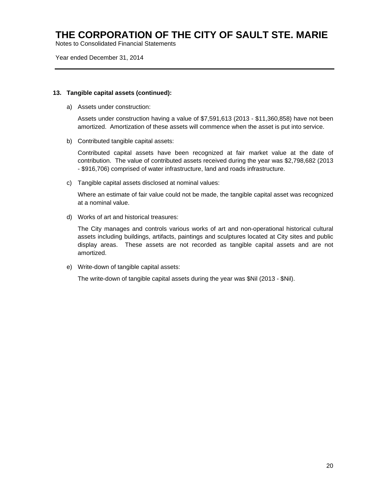Notes to Consolidated Financial Statements

Year ended December 31, 2014

#### **13. Tangible capital assets (continued):**

a) Assets under construction:

Assets under construction having a value of \$7,591,613 (2013 - \$11,360,858) have not been amortized. Amortization of these assets will commence when the asset is put into service.

b) Contributed tangible capital assets:

Contributed capital assets have been recognized at fair market value at the date of contribution. The value of contributed assets received during the year was \$2,798,682 (2013 - \$916,706) comprised of water infrastructure, land and roads infrastructure.

c) Tangible capital assets disclosed at nominal values:

Where an estimate of fair value could not be made, the tangible capital asset was recognized at a nominal value.

d) Works of art and historical treasures:

The City manages and controls various works of art and non-operational historical cultural assets including buildings, artifacts, paintings and sculptures located at City sites and public display areas. These assets are not recorded as tangible capital assets and are not amortized.

e) Write-down of tangible capital assets:

The write-down of tangible capital assets during the year was \$Nil (2013 - \$Nil).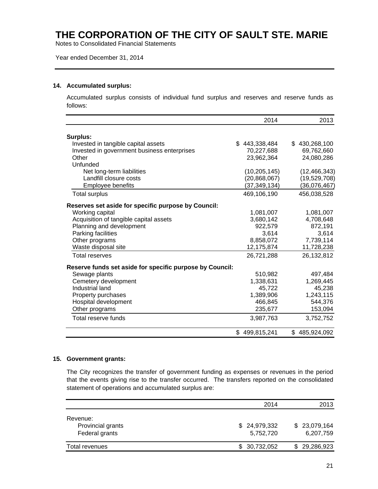Notes to Consolidated Financial Statements

#### Year ended December 31, 2014

#### **14. Accumulated surplus:**

Accumulated surplus consists of individual fund surplus and reserves and reserve funds as follows:

|                                                          | 2014           | 2013           |
|----------------------------------------------------------|----------------|----------------|
|                                                          |                |                |
| Surplus:                                                 |                |                |
| Invested in tangible capital assets                      | \$443,338,484  | \$430,268,100  |
| Invested in government business enterprises              | 70,227,688     | 69,762,660     |
| Other                                                    | 23,962,364     | 24,080,286     |
| Unfunded                                                 |                |                |
| Net long-term liabilities                                | (10, 205, 145) | (12, 466, 343) |
| Landfill closure costs                                   | (20, 868, 067) | (19,529,708)   |
| Employee benefits                                        | (37, 349, 134) | (36,076,467)   |
| <b>Total surplus</b>                                     | 469,106,190    | 456,038,528    |
| Reserves set aside for specific purpose by Council:      |                |                |
| Working capital                                          | 1,081,007      | 1,081,007      |
| Acquisition of tangible capital assets                   | 3,680,142      | 4,708,648      |
| Planning and development                                 | 922,579        | 872,191        |
| Parking facilities                                       | 3,614          | 3,614          |
| Other programs                                           | 8,858,072      | 7,739,114      |
| Waste disposal site                                      | 12,175,874     | 11,728,238     |
| <b>Total reserves</b>                                    | 26,721,288     | 26,132,812     |
| Reserve funds set aside for specific purpose by Council: |                |                |
| Sewage plants                                            | 510,982        | 497,484        |
| Cemetery development                                     | 1,338,631      | 1,269,445      |
| Industrial land                                          | 45,722         | 45,238         |
| Property purchases                                       | 1,389,906      | 1,243,115      |
| Hospital development                                     | 466,845        | 544,376        |
| Other programs                                           | 235,677        | 153,094        |
| Total reserve funds                                      | 3,987,763      | 3,752,752      |
|                                                          | \$499,815,241  | \$485,924,092  |

#### **15. Government grants:**

The City recognizes the transfer of government funding as expenses or revenues in the period that the events giving rise to the transfer occurred. The transfers reported on the consolidated statement of operations and accumulated surplus are:

|                   | 2014         | 2013         |
|-------------------|--------------|--------------|
| Revenue:          |              |              |
| Provincial grants | \$24,979,332 | \$23,079,164 |
| Federal grants    | 5,752,720    | 6,207,759    |
| Total revenues    | \$30,732,052 | \$29,286,923 |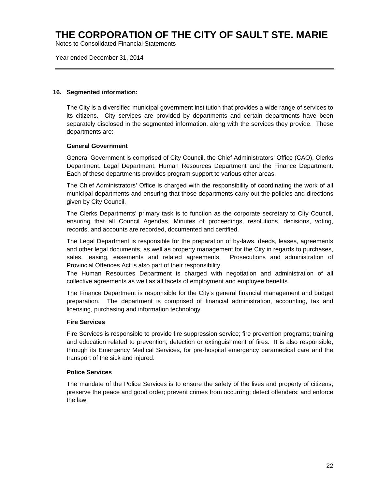Notes to Consolidated Financial Statements

Year ended December 31, 2014

#### **16. Segmented information:**

The City is a diversified municipal government institution that provides a wide range of services to its citizens. City services are provided by departments and certain departments have been separately disclosed in the segmented information, along with the services they provide. These departments are:

### **General Government**

General Government is comprised of City Council, the Chief Administrators' Office (CAO), Clerks Department, Legal Department, Human Resources Department and the Finance Department. Each of these departments provides program support to various other areas.

The Chief Administrators' Office is charged with the responsibility of coordinating the work of all municipal departments and ensuring that those departments carry out the policies and directions given by City Council.

The Clerks Departments' primary task is to function as the corporate secretary to City Council, ensuring that all Council Agendas, Minutes of proceedings, resolutions, decisions, voting, records, and accounts are recorded, documented and certified.

The Legal Department is responsible for the preparation of by-laws, deeds, leases, agreements and other legal documents, as well as property management for the City in regards to purchases, sales, leasing, easements and related agreements. Prosecutions and administration of Provincial Offences Act is also part of their responsibility.

The Human Resources Department is charged with negotiation and administration of all collective agreements as well as all facets of employment and employee benefits.

The Finance Department is responsible for the City's general financial management and budget preparation. The department is comprised of financial administration, accounting, tax and licensing, purchasing and information technology.

#### **Fire Services**

Fire Services is responsible to provide fire suppression service; fire prevention programs; training and education related to prevention, detection or extinguishment of fires. It is also responsible, through its Emergency Medical Services, for pre-hospital emergency paramedical care and the transport of the sick and injured.

#### **Police Services**

The mandate of the Police Services is to ensure the safety of the lives and property of citizens; preserve the peace and good order; prevent crimes from occurring; detect offenders; and enforce the law.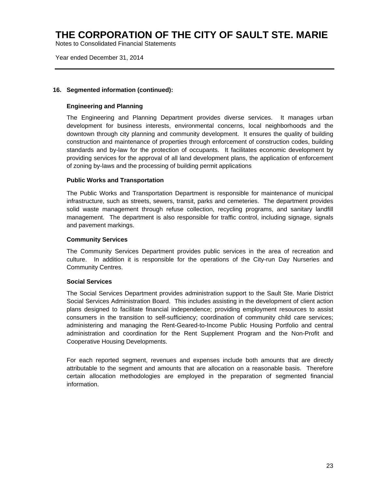Notes to Consolidated Financial Statements

Year ended December 31, 2014

### **16. Segmented information (continued):**

### **Engineering and Planning**

The Engineering and Planning Department provides diverse services. It manages urban development for business interests, environmental concerns, local neighborhoods and the downtown through city planning and community development. It ensures the quality of building construction and maintenance of properties through enforcement of construction codes, building standards and by-law for the protection of occupants. It facilitates economic development by providing services for the approval of all land development plans, the application of enforcement of zoning by-laws and the processing of building permit applications

### **Public Works and Transportation**

The Public Works and Transportation Department is responsible for maintenance of municipal infrastructure, such as streets, sewers, transit, parks and cemeteries. The department provides solid waste management through refuse collection, recycling programs, and sanitary landfill management. The department is also responsible for traffic control, including signage, signals and pavement markings.

### **Community Services**

The Community Services Department provides public services in the area of recreation and culture. In addition it is responsible for the operations of the City-run Day Nurseries and Community Centres.

### **Social Services**

The Social Services Department provides administration support to the Sault Ste. Marie District Social Services Administration Board. This includes assisting in the development of client action plans designed to facilitate financial independence; providing employment resources to assist consumers in the transition to self-sufficiency; coordination of community child care services; administering and managing the Rent-Geared-to-Income Public Housing Portfolio and central administration and coordination for the Rent Supplement Program and the Non-Profit and Cooperative Housing Developments.

For each reported segment, revenues and expenses include both amounts that are directly attributable to the segment and amounts that are allocation on a reasonable basis. Therefore certain allocation methodologies are employed in the preparation of segmented financial information.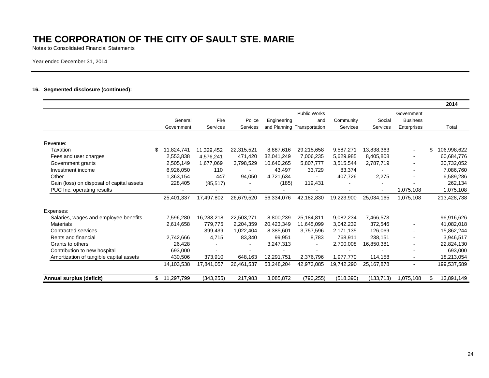Notes to Consolidated Financial Statements

Year ended December 31, 2014

#### **16. Segmented disclosure (continued):**

|                                           |                  |            |                          |             |                             |            |            |                 | 2014              |
|-------------------------------------------|------------------|------------|--------------------------|-------------|-----------------------------|------------|------------|-----------------|-------------------|
|                                           |                  |            |                          |             | <b>Public Works</b>         |            |            | Government      |                   |
|                                           | General          | Fire       | Police                   | Engineering | and                         | Community  | Social     | <b>Business</b> |                   |
|                                           | Government       | Services   | Services                 |             | and Planning Transportation | Services   | Services   | Enterprises     | Total             |
|                                           |                  |            |                          |             |                             |            |            |                 |                   |
| Revenue:                                  |                  |            |                          |             |                             |            |            |                 |                   |
| Taxation                                  | \$<br>11,824,741 | 11,329,452 | 22,315,521               | 8,887,616   | 29,215,658                  | 9,587,271  | 13,838,363 | $\sim$          | 106,998,622<br>\$ |
| Fees and user charges                     | 2,553,838        | 4,576,241  | 471,420                  | 32,041,249  | 7,006,235                   | 5,629,985  | 8,405,808  | $\blacksquare$  | 60,684,776        |
| Government grants                         | 2,505,149        | 1,677,069  | 3,798,529                | 10,640,265  | 5,807,777                   | 3,515,544  | 2,787,719  |                 | 30,732,052        |
| Investment income                         | 6,926,050        | 110        | $\blacksquare$           | 43,497      | 33,729                      | 83,374     |            |                 | 7,086,760         |
| Other                                     | 1,363,154        | 447        | 94,050                   | 4,721,634   |                             | 407,726    | 2,275      |                 | 6,589,286         |
| Gain (loss) on disposal of capital assets | 228,405          | (85, 517)  |                          | (185)       | 119,431                     |            |            |                 | 262,134           |
| PUC Inc. operating results                |                  |            |                          |             |                             |            |            | 1,075,108       | 1,075,108         |
|                                           | 25,401,337       | 17,497,802 | 26,679,520               | 56,334,076  | 42,182,830                  | 19,223,900 | 25.034.165 | 1,075,108       | 213,428,738       |
| Expenses:                                 |                  |            |                          |             |                             |            |            |                 |                   |
| Salaries, wages and employee benefits     | 7,596,280        | 16,283,218 | 22,503,271               | 8,800,239   | 25,184,811                  | 9,082,234  | 7,466,573  |                 | 96,916,626        |
| <b>Materials</b>                          | 2,614,658        | 779,775    | 2,204,359                | 20,423,349  | 11,645,099                  | 3,042,232  | 372,546    |                 | 41,082,018        |
| Contracted services                       |                  | 399.439    | 1,022,404                | 8,385,601   | 3,757,596                   | 2,171,135  | 126,069    | $\blacksquare$  | 15,862,244        |
| Rents and financial                       | 2,742,666        | 4,715      | 83,340                   | 99,951      | 8,783                       | 768,911    | 238,151    |                 | 3,946,517         |
| Grants to others                          | 26,428           |            | $\overline{\phantom{a}}$ | 3,247,313   |                             | 2,700,008  | 16,850,381 |                 | 22,824,130        |
| Contribution to new hospital              | 693,000          |            |                          |             | $\overline{\phantom{0}}$    |            |            |                 | 693,000           |
| Amortization of tangible capital assets   | 430,506          | 373,910    | 648,163                  | 12,291,751  | 2,376,796                   | 1,977,770  | 114,158    | $\blacksquare$  | 18,213,054        |
|                                           | 14,103,538       | 17.841.057 | 26.461.537               | 53,248,204  | 42,973,085                  | 19,742,290 | 25,167,878 | $\blacksquare$  | 199,537,589       |
|                                           |                  |            |                          |             |                             |            |            |                 |                   |
| Annual surplus (deficit)                  | 11,297,799       | (343, 255) | 217,983                  | 3,085,872   | (790, 255)                  | (518, 390) | (133, 713) | 1,075,108       | 13,891,149<br>£.  |